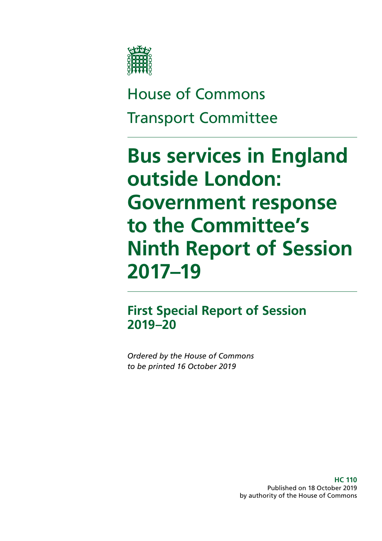

# House of Commons Transport Committee

# **Bus services in England outside London: Government response to the Committee's Ninth Report of Session 2017–19**

**First Special Report of Session 2019–20**

*Ordered by the House of Commons to be printed 16 October 2019*

> **HC 110** Published on 18 October 2019 by authority of the House of Commons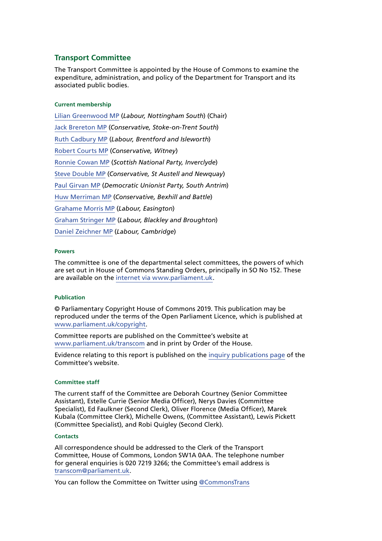#### **Transport Committee**

The Transport Committee is appointed by the House of Commons to examine the expenditure, administration, and policy of the Department for Transport and its associated public bodies.

#### **Current membership**

[Lilian Greenwood MP](https://www.parliament.uk/biographies/commons/lilian-greenwood/4029) (*Labour, Nottingham South*) (Chair) [Jack Brereton MP](https://www.parliament.uk/biographies/commons/jack-brereton/4643) (*Conservative, Stoke-on-Trent South*) [Ruth Cadbury MP](https://www.parliament.uk/biographies/commons/ruth-cadbury/4389) (*Labour, Brentford and Isleworth*) [Robert Courts MP](https://www.parliament.uk/biographies/commons/robert-courts/4589) (*Conservative, Witney*) [Ronnie Cowan MP](https://www.parliament.uk/biographies/commons/ronnie-cowan/4465) (*Scottish National Party, Inverclyde*) [Steve Double MP](https://www.parliament.uk/biographies/commons/steve-double/4452) (*Conservative, St Austell and Newquay*) [Paul Girvan MP](https://www.parliament.uk/biographies/commons/paul-girvan/4633) (*Democratic Unionist Party, South Antrim*) [Huw Merriman MP](https://www.parliament.uk/biographies/commons/huw-merriman/4442) (*Conservative, Bexhill and Battle*) [Grahame Morris MP](https://www.parliament.uk/biographies/commons/grahame-morris/3973) (*Labour, Easington*) [Graham Stringer MP](https://www.parliament.uk/biographies/commons/graham-stringer/449) (*Labour, Blackley and Broughton*) [Daniel Zeichner MP](https://www.parliament.uk/biographies/commons/daniel-zeichner/4382) (*Labour, Cambridge*)

#### **Powers**

The committee is one of the departmental select committees, the powers of which are set out in House of Commons Standing Orders, principally in SO No 152. These are available on the [internet via www.parliament.uk.](https://www.parliament.uk/)

#### **Publication**

© Parliamentary Copyright House of Commons 2019. This publication may be reproduced under the terms of the Open Parliament Licence, which is published at [www.parliament.uk/copyright](https://www.parliament.uk/copyright).

Committee reports are published on the Committee's website at [www.parliament.uk/transcom](https://www.parliament.uk/business/committees/committees-a-z/commons-select/transport-committee/) and in print by Order of the House.

Evidence relating to this report is published on the [inquiry publications page](https://www.parliament.uk/business/committees/committees-a-z/commons-select/transport-committee/inquiries/parliament-2017/health-of-bus-market-17-19/publications/) of the Committee's website.

#### **Committee staff**

The current staff of the Committee are Deborah Courtney (Senior Committee Assistant), Estelle Currie (Senior Media Officer), Nerys Davies (Committee Specialist), Ed Faulkner (Second Clerk), Oliver Florence (Media Officer), Marek Kubala (Committee Clerk), Michelle Owens, (Committee Assistant), Lewis Pickett (Committee Specialist), and Robi Quigley (Second Clerk).

#### **Contacts**

All correspondence should be addressed to the Clerk of the Transport Committee, House of Commons, London SW1A 0AA. The telephone number for general enquiries is 020 7219 3266; the Committee's email address is [transcom@parliament.uk.](mailto:transcom%40parliament.uk?subject=)

You can follow the Committee on Twitter using [@CommonsTrans](https://twitter.com/CommonsTrans)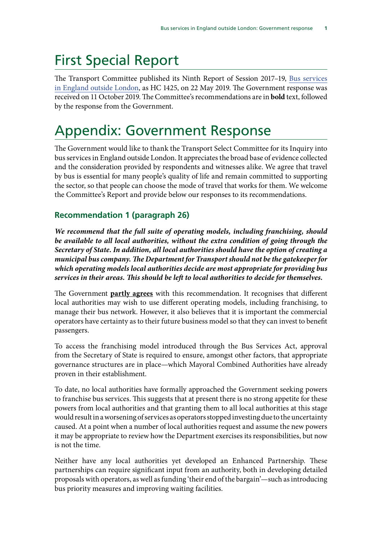# First Special Report

The Transport Committee published its Ninth Report of Session 2017–19, [Bus services](https://publications.parliament.uk/pa/cm201719/cmselect/cmtrans/1425/1425.pdf) [in England outside London](https://publications.parliament.uk/pa/cm201719/cmselect/cmtrans/1425/1425.pdf), as HC 1425, on 22 May 2019. The Government response was received on 11 October 2019. The Committee's recommendations are in **bold** text, followed by the response from the Government.

# Appendix: Government Response

The Government would like to thank the Transport Select Committee for its Inquiry into bus services in England outside London. It appreciates the broad base of evidence collected and the consideration provided by respondents and witnesses alike. We agree that travel by bus is essential for many people's quality of life and remain committed to supporting the sector, so that people can choose the mode of travel that works for them. We welcome the Committee's Report and provide below our responses to its recommendations.

# **Recommendation 1 (paragraph 26)**

*We recommend that the full suite of operating models, including franchising, should be available to all local authorities, without the extra condition of going through the Secretary of State. In addition, all local authorities should have the option of creating a municipal bus company. The Department for Transport should not be the gatekeeper for which operating models local authorities decide are most appropriate for providing bus services in their areas. This should be left to local authorities to decide for themselves.*

The Government **partly agrees** with this recommendation. It recognises that different local authorities may wish to use different operating models, including franchising, to manage their bus network. However, it also believes that it is important the commercial operators have certainty as to their future business model so that they can invest to benefit passengers.

To access the franchising model introduced through the Bus Services Act, approval from the Secretary of State is required to ensure, amongst other factors, that appropriate governance structures are in place—which Mayoral Combined Authorities have already proven in their establishment.

To date, no local authorities have formally approached the Government seeking powers to franchise bus services. This suggests that at present there is no strong appetite for these powers from local authorities and that granting them to all local authorities at this stage would result in a worsening of services as operators stopped investing due to the uncertainty caused. At a point when a number of local authorities request and assume the new powers it may be appropriate to review how the Department exercises its responsibilities, but now is not the time.

Neither have any local authorities yet developed an Enhanced Partnership. These partnerships can require significant input from an authority, both in developing detailed proposals with operators, as well as funding 'their end of the bargain'—such as introducing bus priority measures and improving waiting facilities.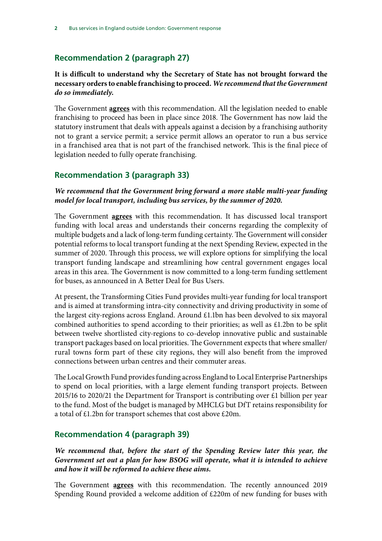## **Recommendation 2 (paragraph 27)**

#### **It is difficult to understand why the Secretary of State has not brought forward the necessary orders to enable franchising to proceed.** *We recommend that the Government do so immediately.*

The Government **agrees** with this recommendation. All the legislation needed to enable franchising to proceed has been in place since 2018. The Government has now laid the statutory instrument that deals with appeals against a decision by a franchising authority not to grant a service permit; a service permit allows an operator to run a bus service in a franchised area that is not part of the franchised network. This is the final piece of legislation needed to fully operate franchising.

#### **Recommendation 3 (paragraph 33)**

#### *We recommend that the Government bring forward a more stable multi-year funding model for local transport, including bus services, by the summer of 2020.*

The Government **agrees** with this recommendation. It has discussed local transport funding with local areas and understands their concerns regarding the complexity of multiple budgets and a lack of long-term funding certainty. The Government will consider potential reforms to local transport funding at the next Spending Review, expected in the summer of 2020. Through this process, we will explore options for simplifying the local transport funding landscape and streamlining how central government engages local areas in this area. The Government is now committed to a long-term funding settlement for buses, as announced in A Better Deal for Bus Users.

At present, the Transforming Cities Fund provides multi-year funding for local transport and is aimed at transforming intra-city connectivity and driving productivity in some of the largest city-regions across England. Around £1.1bn has been devolved to six mayoral combined authorities to spend according to their priorities; as well as £1.2bn to be split between twelve shortlisted city-regions to co-develop innovative public and sustainable transport packages based on local priorities. The Government expects that where smaller/ rural towns form part of these city regions, they will also benefit from the improved connections between urban centres and their commuter areas.

The Local Growth Fund provides funding across England to Local Enterprise Partnerships to spend on local priorities, with a large element funding transport projects. Between 2015/16 to 2020/21 the Department for Transport is contributing over £1 billion per year to the fund. Most of the budget is managed by MHCLG but DfT retains responsibility for a total of £1.2bn for transport schemes that cost above £20m.

#### **Recommendation 4 (paragraph 39)**

*We recommend that, before the start of the Spending Review later this year, the Government set out a plan for how BSOG will operate, what it is intended to achieve and how it will be reformed to achieve these aims.*

The Government **agrees** with this recommendation. The recently announced 2019 Spending Round provided a welcome addition of £220m of new funding for buses with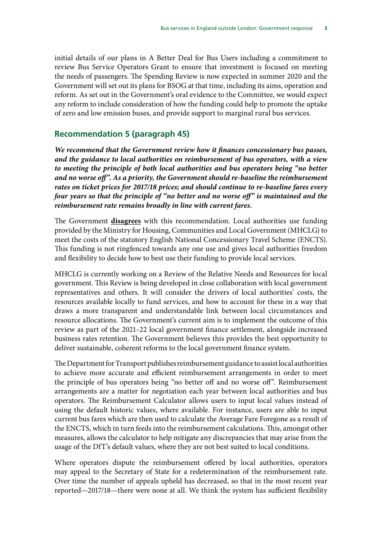initial details of our plans in A Better Deal for Bus Users including a commitment to review Bus Service Operators Grant to ensure that investment is focused on meeting the needs of passengers. The Spending Review is now expected in summer 2020 and the Government will set out its plans for BSOG at that time, including its aims, operation and reform. As set out in the Government's oral evidence to the Committee, we would expect any reform to include consideration of how the funding could help to promote the uptake of zero and low emission buses, and provide support to marginal rural bus services.

#### **Recommendation 5 (paragraph 45)**

*We recommend that the Government review how it finances concessionary bus passes, and the guidance to local authorities on reimbursement of bus operators, with a view to meeting the principle of both local authorities and bus operators being "no better and no worse off". As a priority, the Government should re-baseline the reimbursement rates on ticket prices for 2017/18 prices; and should continue to re-baseline fares every four years so that the principle of "no better and no worse off" is maintained and the reimbursement rate remains broadly in line with current fares.*

The Government **disagrees** with this recommendation. Local authorities use funding provided by the Ministry for Housing, Communities and Local Government (MHCLG) to meet the costs of the statutory English National Concessionary Travel Scheme (ENCTS). This funding is not ringfenced towards any one use and gives local authorities freedom and flexibility to decide how to best use their funding to provide local services.

MHCLG is currently working on a Review of the Relative Needs and Resources for local government. This Review is being developed in close collaboration with local government representatives and others. It will consider the drivers of local authorities' costs, the resources available locally to fund services, and how to account for these in a way that draws a more transparent and understandable link between local circumstances and resource allocations. The Government's current aim is to implement the outcome of this review as part of the 2021–22 local government finance settlement, alongside increased business rates retention. The Government believes this provides the best opportunity to deliver sustainable, coherent reforms to the local government finance system.

The Department for Transport publishes reimbursement guidance to assist local authorities to achieve more accurate and efficient reimbursement arrangements in order to meet the principle of bus operators being "no better off and no worse off". Reimbursement arrangements are a matter for negotiation each year between local authorities and bus operators. The Reimbursement Calculator allows users to input local values instead of using the default historic values, where available. For instance, users are able to input current bus fares which are then used to calculate the Average Fare Foregone as a result of the ENCTS, which in turn feeds into the reimbursement calculations. This, amongst other measures, allows the calculator to help mitigate any discrepancies that may arise from the usage of the DfT's default values, where they are not best suited to local conditions.

Where operators dispute the reimbursement offered by local authorities, operators may appeal to the Secretary of State for a redetermination of the reimbursement rate. Over time the number of appeals upheld has decreased, so that in the most recent year reported—2017/18—there were none at all. We think the system has sufficient flexibility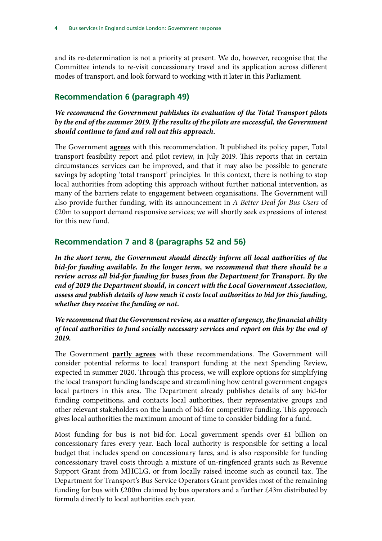and its re-determination is not a priority at present. We do, however, recognise that the Committee intends to re-visit concessionary travel and its application across different modes of transport, and look forward to working with it later in this Parliament.

#### **Recommendation 6 (paragraph 49)**

*We recommend the Government publishes its evaluation of the Total Transport pilots by the end of the summer 2019. If the results of the pilots are successful, the Government should continue to fund and roll out this approach.*

The Government **agrees** with this recommendation. It published its policy paper, Total transport feasibility report and pilot review, in July 2019. This reports that in certain circumstances services can be improved, and that it may also be possible to generate savings by adopting 'total transport' principles. In this context, there is nothing to stop local authorities from adopting this approach without further national intervention, as many of the barriers relate to engagement between organisations. The Government will also provide further funding, with its announcement in *A Better Deal for Bus Users* of £20m to support demand responsive services; we will shortly seek expressions of interest for this new fund.

#### **Recommendation 7 and 8 (paragraphs 52 and 56)**

*In the short term, the Government should directly inform all local authorities of the bid-for funding available. In the longer term, we recommend that there should be a review across all bid-for funding for buses from the Department for Transport. By the end of 2019 the Department should, in concert with the Local Government Association, assess and publish details of how much it costs local authorities to bid for this funding, whether they receive the funding or not.*

#### *We recommend that the Government review, as a matter of urgency, the financial ability of local authorities to fund socially necessary services and report on this by the end of 2019.*

The Government **partly agrees** with these recommendations. The Government will consider potential reforms to local transport funding at the next Spending Review, expected in summer 2020. Through this process, we will explore options for simplifying the local transport funding landscape and streamlining how central government engages local partners in this area. The Department already publishes details of any bid-for funding competitions, and contacts local authorities, their representative groups and other relevant stakeholders on the launch of bid-for competitive funding. This approach gives local authorities the maximum amount of time to consider bidding for a fund.

Most funding for bus is not bid-for. Local government spends over £1 billion on concessionary fares every year. Each local authority is responsible for setting a local budget that includes spend on concessionary fares, and is also responsible for funding concessionary travel costs through a mixture of un-ringfenced grants such as Revenue Support Grant from MHCLG, or from locally raised income such as council tax. The Department for Transport's Bus Service Operators Grant provides most of the remaining funding for bus with £200m claimed by bus operators and a further £43m distributed by formula directly to local authorities each year.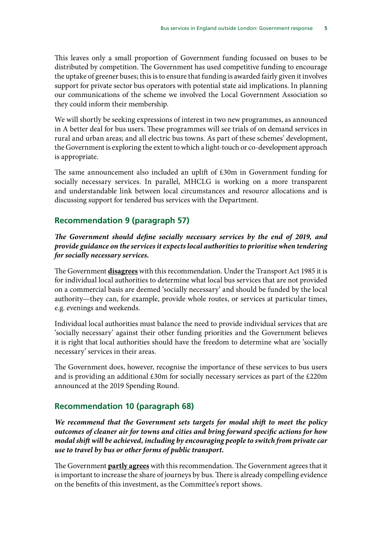This leaves only a small proportion of Government funding focussed on buses to be distributed by competition. The Government has used competitive funding to encourage the uptake of greener buses; this is to ensure that funding is awarded fairly given it involves support for private sector bus operators with potential state aid implications. In planning our communications of the scheme we involved the Local Government Association so they could inform their membership.

We will shortly be seeking expressions of interest in two new programmes, as announced in A better deal for bus users. These programmes will see trials of on demand services in rural and urban areas; and all electric bus towns. As part of these schemes' development, the Government is exploring the extent to which a light-touch or co-development approach is appropriate.

The same announcement also included an uplift of £30m in Government funding for socially necessary services. In parallel, MHCLG is working on a more transparent and understandable link between local circumstances and resource allocations and is discussing support for tendered bus services with the Department.

#### **Recommendation 9 (paragraph 57)**

*The Government should define socially necessary services by the end of 2019, and provide guidance on the services it expects local authorities to prioritise when tendering for socially necessary services.*

The Government **disagrees** with this recommendation. Under the Transport Act 1985 it is for individual local authorities to determine what local bus services that are not provided on a commercial basis are deemed 'socially necessary' and should be funded by the local authority—they can, for example, provide whole routes, or services at particular times, e.g. evenings and weekends.

Individual local authorities must balance the need to provide individual services that are 'socially necessary' against their other funding priorities and the Government believes it is right that local authorities should have the freedom to determine what are 'socially necessary' services in their areas.

The Government does, however, recognise the importance of these services to bus users and is providing an additional £30m for socially necessary services as part of the £220m announced at the 2019 Spending Round.

#### **Recommendation 10 (paragraph 68)**

*We recommend that the Government sets targets for modal shift to meet the policy outcomes of cleaner air for towns and cities and bring forward specific actions for how modal shift will be achieved, including by encouraging people to switch from private car use to travel by bus or other forms of public transport.*

The Government **partly agrees** with this recommendation. The Government agrees that it is important to increase the share of journeys by bus. There is already compelling evidence on the benefits of this investment, as the Committee's report shows.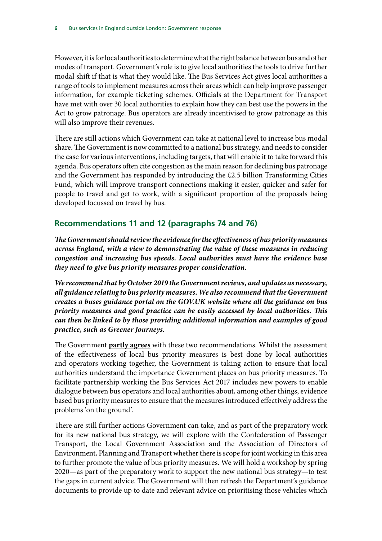However, it is for local authorities to determine what the right balance between bus and other modes of transport. Government's role is to give local authorities the tools to drive further modal shift if that is what they would like. The Bus Services Act gives local authorities a range of tools to implement measures across their areas which can help improve passenger information, for example ticketing schemes. Officials at the Department for Transport have met with over 30 local authorities to explain how they can best use the powers in the Act to grow patronage. Bus operators are already incentivised to grow patronage as this will also improve their revenues.

There are still actions which Government can take at national level to increase bus modal share. The Government is now committed to a national bus strategy, and needs to consider the case for various interventions, including targets, that will enable it to take forward this agenda. Bus operators often cite congestion as the main reason for declining bus patronage and the Government has responded by introducing the £2.5 billion Transforming Cities Fund, which will improve transport connections making it easier, quicker and safer for people to travel and get to work, with a significant proportion of the proposals being developed focussed on travel by bus.

## **Recommendations 11 and 12 (paragraphs 74 and 76)**

*The Government should review the evidence for the effectiveness of bus priority measures across England, with a view to demonstrating the value of these measures in reducing congestion and increasing bus speeds. Local authorities must have the evidence base they need to give bus priority measures proper consideration.*

*We recommend that by October 2019 the Government reviews, and updates as necessary, all guidance relating to bus priority measures. We also recommend that the Government creates a buses guidance portal on the GOV.UK website where all the guidance on bus priority measures and good practice can be easily accessed by local authorities. This can then be linked to by those providing additional information and examples of good practice, such as Greener Journeys.*

The Government **partly agrees** with these two recommendations. Whilst the assessment of the effectiveness of local bus priority measures is best done by local authorities and operators working together, the Government is taking action to ensure that local authorities understand the importance Government places on bus priority measures. To facilitate partnership working the Bus Services Act 2017 includes new powers to enable dialogue between bus operators and local authorities about, among other things, evidence based bus priority measures to ensure that the measures introduced effectively address the problems 'on the ground'.

There are still further actions Government can take, and as part of the preparatory work for its new national bus strategy, we will explore with the Confederation of Passenger Transport, the Local Government Association and the Association of Directors of Environment, Planning and Transport whether there is scope for joint working in this area to further promote the value of bus priority measures. We will hold a workshop by spring 2020—as part of the preparatory work to support the new national bus strategy—to test the gaps in current advice. The Government will then refresh the Department's guidance documents to provide up to date and relevant advice on prioritising those vehicles which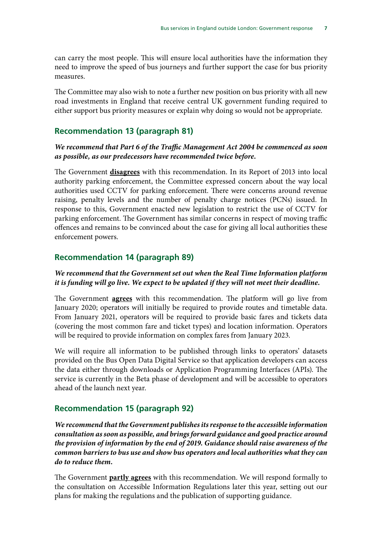can carry the most people. This will ensure local authorities have the information they need to improve the speed of bus journeys and further support the case for bus priority measures.

The Committee may also wish to note a further new position on bus priority with all new road investments in England that receive central UK government funding required to either support bus priority measures or explain why doing so would not be appropriate.

#### **Recommendation 13 (paragraph 81)**

#### *We recommend that Part 6 of the Traffic Management Act 2004 be commenced as soon as possible, as our predecessors have recommended twice before.*

The Government **disagrees** with this recommendation. In its Report of 2013 into local authority parking enforcement, the Committee expressed concern about the way local authorities used CCTV for parking enforcement. There were concerns around revenue raising, penalty levels and the number of penalty charge notices (PCNs) issued. In response to this, Government enacted new legislation to restrict the use of CCTV for parking enforcement. The Government has similar concerns in respect of moving traffic offences and remains to be convinced about the case for giving all local authorities these enforcement powers.

#### **Recommendation 14 (paragraph 89)**

#### *We recommend that the Government set out when the Real Time Information platform it is funding will go live. We expect to be updated if they will not meet their deadline.*

The Government **agrees** with this recommendation. The platform will go live from January 2020; operators will initially be required to provide routes and timetable data. From January 2021, operators will be required to provide basic fares and tickets data (covering the most common fare and ticket types) and location information. Operators will be required to provide information on complex fares from January 2023.

We will require all information to be published through links to operators' datasets provided on the Bus Open Data Digital Service so that application developers can access the data either through downloads or Application Programming Interfaces (APIs). The service is currently in the Beta phase of development and will be accessible to operators ahead of the launch next year.

#### **Recommendation 15 (paragraph 92)**

*We recommend that the Government publishes its response to the accessible information consultation as soon as possible, and brings forward guidance and good practice around the provision of information by the end of 2019. Guidance should raise awareness of the common barriers to bus use and show bus operators and local authorities what they can do to reduce them.*

The Government **partly agrees** with this recommendation. We will respond formally to the consultation on Accessible Information Regulations later this year, setting out our plans for making the regulations and the publication of supporting guidance.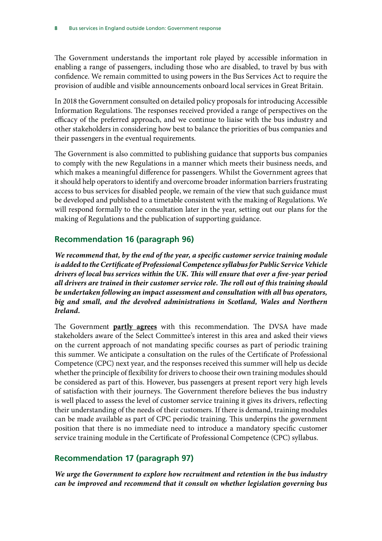The Government understands the important role played by accessible information in enabling a range of passengers, including those who are disabled, to travel by bus with confidence. We remain committed to using powers in the Bus Services Act to require the provision of audible and visible announcements onboard local services in Great Britain.

In 2018 the Government consulted on detailed policy proposals for introducing Accessible Information Regulations. The responses received provided a range of perspectives on the efficacy of the preferred approach, and we continue to liaise with the bus industry and other stakeholders in considering how best to balance the priorities of bus companies and their passengers in the eventual requirements.

The Government is also committed to publishing guidance that supports bus companies to comply with the new Regulations in a manner which meets their business needs, and which makes a meaningful difference for passengers. Whilst the Government agrees that it should help operators to identify and overcome broader information barriers frustrating access to bus services for disabled people, we remain of the view that such guidance must be developed and published to a timetable consistent with the making of Regulations. We will respond formally to the consultation later in the year, setting out our plans for the making of Regulations and the publication of supporting guidance.

#### **Recommendation 16 (paragraph 96)**

*We recommend that, by the end of the year, a specific customer service training module is added to the Certificate of Professional Competence syllabus for Public Service Vehicle drivers of local bus services within the UK. This will ensure that over a five-year period all drivers are trained in their customer service role. The roll out of this training should be undertaken following an impact assessment and consultation with all bus operators, big and small, and the devolved administrations in Scotland, Wales and Northern Ireland.*

The Government **partly agrees** with this recommendation. The DVSA have made stakeholders aware of the Select Committee's interest in this area and asked their views on the current approach of not mandating specific courses as part of periodic training this summer. We anticipate a consultation on the rules of the Certificate of Professional Competence (CPC) next year, and the responses received this summer will help us decide whether the principle of flexibility for drivers to choose their own training modules should be considered as part of this. However, bus passengers at present report very high levels of satisfaction with their journeys. The Government therefore believes the bus industry is well placed to assess the level of customer service training it gives its drivers, reflecting their understanding of the needs of their customers. If there is demand, training modules can be made available as part of CPC periodic training. This underpins the government position that there is no immediate need to introduce a mandatory specific customer service training module in the Certificate of Professional Competence (CPC) syllabus.

# **Recommendation 17 (paragraph 97)**

*We urge the Government to explore how recruitment and retention in the bus industry can be improved and recommend that it consult on whether legislation governing bus*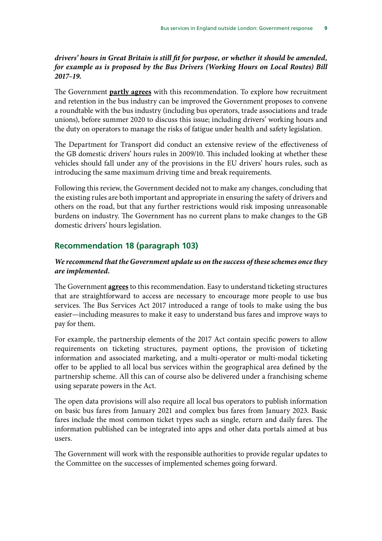#### *drivers' hours in Great Britain is still fit for purpose, or whether it should be amended, for example as is proposed by the Bus Drivers (Working Hours on Local Routes) Bill 2017–19.*

The Government **partly agrees** with this recommendation. To explore how recruitment and retention in the bus industry can be improved the Government proposes to convene a roundtable with the bus industry (including bus operators, trade associations and trade unions), before summer 2020 to discuss this issue; including drivers' working hours and the duty on operators to manage the risks of fatigue under health and safety legislation.

The Department for Transport did conduct an extensive review of the effectiveness of the GB domestic drivers' hours rules in 2009/10. This included looking at whether these vehicles should fall under any of the provisions in the EU drivers' hours rules, such as introducing the same maximum driving time and break requirements.

Following this review, the Government decided not to make any changes, concluding that the existing rules are both important and appropriate in ensuring the safety of drivers and others on the road, but that any further restrictions would risk imposing unreasonable burdens on industry. The Government has no current plans to make changes to the GB domestic drivers' hours legislation.

#### **Recommendation 18 (paragraph 103)**

#### *We recommend that the Government update us on the success of these schemes once they are implemented.*

The Government **agrees** to this recommendation. Easy to understand ticketing structures that are straightforward to access are necessary to encourage more people to use bus services. The Bus Services Act 2017 introduced a range of tools to make using the bus easier—including measures to make it easy to understand bus fares and improve ways to pay for them.

For example, the partnership elements of the 2017 Act contain specific powers to allow requirements on ticketing structures, payment options, the provision of ticketing information and associated marketing, and a multi-operator or multi-modal ticketing offer to be applied to all local bus services within the geographical area defined by the partnership scheme. All this can of course also be delivered under a franchising scheme using separate powers in the Act.

The open data provisions will also require all local bus operators to publish information on basic bus fares from January 2021 and complex bus fares from January 2023. Basic fares include the most common ticket types such as single, return and daily fares. The information published can be integrated into apps and other data portals aimed at bus users.

The Government will work with the responsible authorities to provide regular updates to the Committee on the successes of implemented schemes going forward.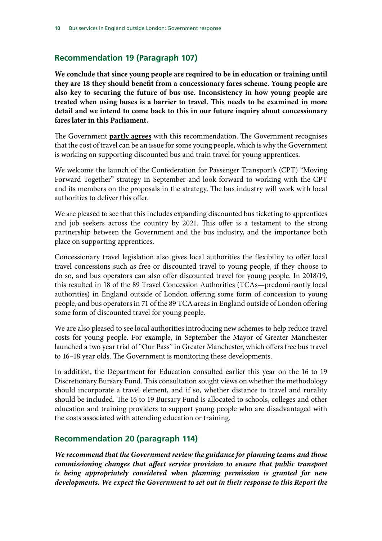## **Recommendation 19 (Paragraph 107)**

**We conclude that since young people are required to be in education or training until they are 18 they should benefit from a concessionary fares scheme. Young people are also key to securing the future of bus use. Inconsistency in how young people are treated when using buses is a barrier to travel. This needs to be examined in more detail and we intend to come back to this in our future inquiry about concessionary fares later in this Parliament.**

The Government **partly agrees** with this recommendation. The Government recognises that the cost of travel can be an issue for some young people, which is why the Government is working on supporting discounted bus and train travel for young apprentices.

We welcome the launch of the Confederation for Passenger Transport's (CPT) "Moving Forward Together" strategy in September and look forward to working with the CPT and its members on the proposals in the strategy. The bus industry will work with local authorities to deliver this offer.

We are pleased to see that this includes expanding discounted bus ticketing to apprentices and job seekers across the country by 2021. This offer is a testament to the strong partnership between the Government and the bus industry, and the importance both place on supporting apprentices.

Concessionary travel legislation also gives local authorities the flexibility to offer local travel concessions such as free or discounted travel to young people, if they choose to do so, and bus operators can also offer discounted travel for young people. In 2018/19, this resulted in 18 of the 89 Travel Concession Authorities (TCAs—predominantly local authorities) in England outside of London offering some form of concession to young people, and bus operators in 71 of the 89 TCA areas in England outside of London offering some form of discounted travel for young people.

We are also pleased to see local authorities introducing new schemes to help reduce travel costs for young people. For example, in September the Mayor of Greater Manchester launched a two year trial of "Our Pass" in Greater Manchester, which offers free bus travel to 16–18 year olds. The Government is monitoring these developments.

In addition, the Department for Education consulted earlier this year on the 16 to 19 Discretionary Bursary Fund. This consultation sought views on whether the methodology should incorporate a travel element, and if so, whether distance to travel and rurality should be included. The 16 to 19 Bursary Fund is allocated to schools, colleges and other education and training providers to support young people who are disadvantaged with the costs associated with attending education or training.

#### **Recommendation 20 (paragraph 114)**

*We recommend that the Government review the guidance for planning teams and those commissioning changes that affect service provision to ensure that public transport is being appropriately considered when planning permission is granted for new developments. We expect the Government to set out in their response to this Report the*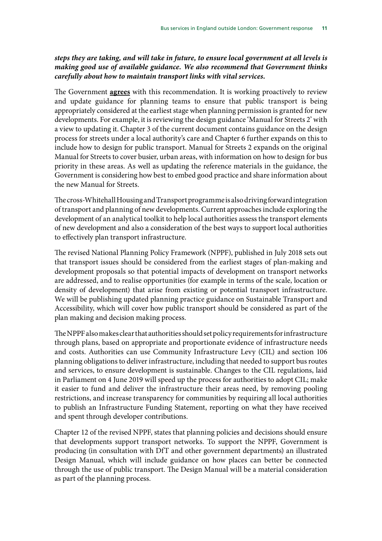#### *steps they are taking, and will take in future, to ensure local government at all levels is making good use of available guidance. We also recommend that Government thinks carefully about how to maintain transport links with vital services.*

The Government **agrees** with this recommendation. It is working proactively to review and update guidance for planning teams to ensure that public transport is being appropriately considered at the earliest stage when planning permission is granted for new developments. For example, it is reviewing the design guidance 'Manual for Streets 2' with a view to updating it. Chapter 3 of the current document contains guidance on the design process for streets under a local authority's care and Chapter 6 further expands on this to include how to design for public transport. Manual for Streets 2 expands on the original Manual for Streets to cover busier, urban areas, with information on how to design for bus priority in these areas. As well as updating the reference materials in the guidance, the Government is considering how best to embed good practice and share information about the new Manual for Streets.

The cross-Whitehall Housing and Transport programme is also driving forward integration of transport and planning of new developments. Current approaches include exploring the development of an analytical toolkit to help local authorities assess the transport elements of new development and also a consideration of the best ways to support local authorities to effectively plan transport infrastructure.

The revised National Planning Policy Framework (NPPF), published in July 2018 sets out that transport issues should be considered from the earliest stages of plan-making and development proposals so that potential impacts of development on transport networks are addressed, and to realise opportunities (for example in terms of the scale, location or density of development) that arise from existing or potential transport infrastructure. We will be publishing updated planning practice guidance on Sustainable Transport and Accessibility, which will cover how public transport should be considered as part of the plan making and decision making process.

The NPPF also makes clear that authorities should set policy requirements for infrastructure through plans, based on appropriate and proportionate evidence of infrastructure needs and costs. Authorities can use Community Infrastructure Levy (CIL) and section 106 planning obligations to deliver infrastructure, including that needed to support bus routes and services, to ensure development is sustainable. Changes to the CIL regulations, laid in Parliament on 4 June 2019 will speed up the process for authorities to adopt CIL; make it easier to fund and deliver the infrastructure their areas need, by removing pooling restrictions, and increase transparency for communities by requiring all local authorities to publish an Infrastructure Funding Statement, reporting on what they have received and spent through developer contributions.

Chapter 12 of the revised NPPF, states that planning policies and decisions should ensure that developments support transport networks. To support the NPPF, Government is producing (in consultation with DfT and other government departments) an illustrated Design Manual, which will include guidance on how places can better be connected through the use of public transport. The Design Manual will be a material consideration as part of the planning process.